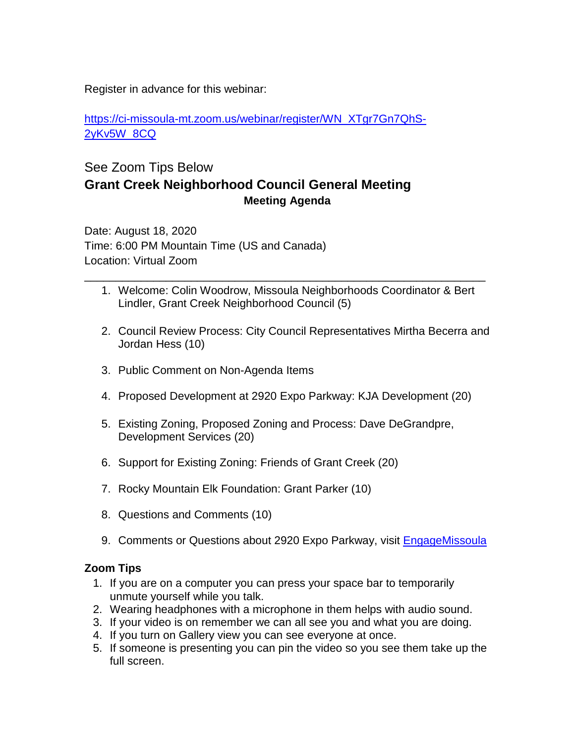Register in advance for this webinar:

[https://ci-missoula-mt.zoom.us/webinar/register/WN\\_XTgr7Gn7QhS-](https://ci-missoula-mt.zoom.us/webinar/register/WN_XTgr7Gn7QhS-2yKv5W_8CQ)[2yKv5W\\_8CQ](https://ci-missoula-mt.zoom.us/webinar/register/WN_XTgr7Gn7QhS-2yKv5W_8CQ)

## See Zoom Tips Below **Grant Creek Neighborhood Council General Meeting Meeting Agenda**

Date: August 18, 2020 Time: 6:00 PM Mountain Time (US and Canada) Location: Virtual Zoom

1. Welcome: Colin Woodrow, Missoula Neighborhoods Coordinator & Bert Lindler, Grant Creek Neighborhood Council (5)

\_\_\_\_\_\_\_\_\_\_\_\_\_\_\_\_\_\_\_\_\_\_\_\_\_\_\_\_\_\_\_\_\_\_\_\_\_\_\_\_\_\_\_\_\_\_\_\_\_\_\_\_\_\_\_\_\_\_\_\_\_\_\_\_

- 2. Council Review Process: City Council Representatives Mirtha Becerra and Jordan Hess (10)
- 3. Public Comment on Non-Agenda Items
- 4. Proposed Development at 2920 Expo Parkway: KJA Development (20)
- 5. Existing Zoning, Proposed Zoning and Process: Dave DeGrandpre, Development Services (20)
- 6. Support for Existing Zoning: Friends of Grant Creek (20)
- 7. Rocky Mountain Elk Foundation: Grant Parker (10)
- 8. Questions and Comments (10)
- 9. Comments or Questions about 2920 Expo Parkway, visit [EngageMissoula](https://www.engagemissoula.com/development-applications/news_feed/expo-parkway-rezoning)

## **Zoom Tips**

- 1. If you are on a computer you can press your space bar to temporarily unmute yourself while you talk.
- 2. Wearing headphones with a microphone in them helps with audio sound.
- 3. If your video is on remember we can all see you and what you are doing.
- 4. If you turn on Gallery view you can see everyone at once.
- 5. If someone is presenting you can pin the video so you see them take up the full screen.